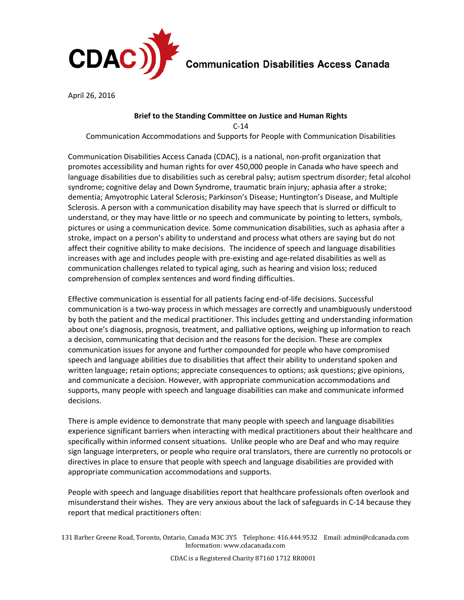

Communication Disabilities Access Canada

April 26, 2016

## **Brief to the Standing Committee on Justice and Human Rights**  C-14

Communication Accommodations and Supports for People with Communication Disabilities

Communication Disabilities Access Canada (CDAC), is a national, non-profit organization that promotes accessibility and human rights for over 450,000 people in Canada who have speech and language disabilities due to disabilities such as cerebral palsy; autism spectrum disorder; fetal alcohol syndrome; cognitive delay and Down Syndrome, traumatic brain injury; aphasia after a stroke; dementia; Amyotrophic Lateral Sclerosis; Parkinson's Disease; Huntington's Disease, and Multiple Sclerosis. A person with a communication disability may have speech that is slurred or difficult to understand, or they may have little or no speech and communicate by pointing to letters, symbols, pictures or using a communication device. Some communication disabilities, such as aphasia after a stroke, impact on a person's ability to understand and process what others are saying but do not affect their cognitive ability to make decisions. The incidence of speech and language disabilities increases with age and includes people with pre-existing and age-related disabilities as well as communication challenges related to typical aging, such as hearing and vision loss; reduced comprehension of complex sentences and word finding difficulties.

Effective communication is essential for all patients facing end-of-life decisions. Successful communication is a two-way process in which messages are correctly and unambiguously understood by both the patient and the medical practitioner. This includes getting and understanding information about one's diagnosis, prognosis, treatment, and palliative options, weighing up information to reach a decision, communicating that decision and the reasons for the decision. These are complex communication issues for anyone and further compounded for people who have compromised speech and language abilities due to disabilities that affect their ability to understand spoken and written language; retain options; appreciate consequences to options; ask questions; give opinions, and communicate a decision. However, with appropriate communication accommodations and supports, many people with speech and language disabilities can make and communicate informed decisions.

There is ample evidence to demonstrate that many people with speech and language disabilities experience significant barriers when interacting with medical practitioners about their healthcare and specifically within informed consent situations. Unlike people who are Deaf and who may require sign language interpreters, or people who require oral translators, there are currently no protocols or directives in place to ensure that people with speech and language disabilities are provided with appropriate communication accommodations and supports.

People with speech and language disabilities report that healthcare professionals often overlook and misunderstand their wishes. They are very anxious about the lack of safeguards in C-14 because they report that medical practitioners often:

131 Barber Greene Road, Toronto, Ontario, Canada M3C 3Y5 Telephone: 416.444.9532 Email: admin@cdcanada.com Information: www.cdacanada.com

CDAC is a Registered Charity 87160 1712 RR0001